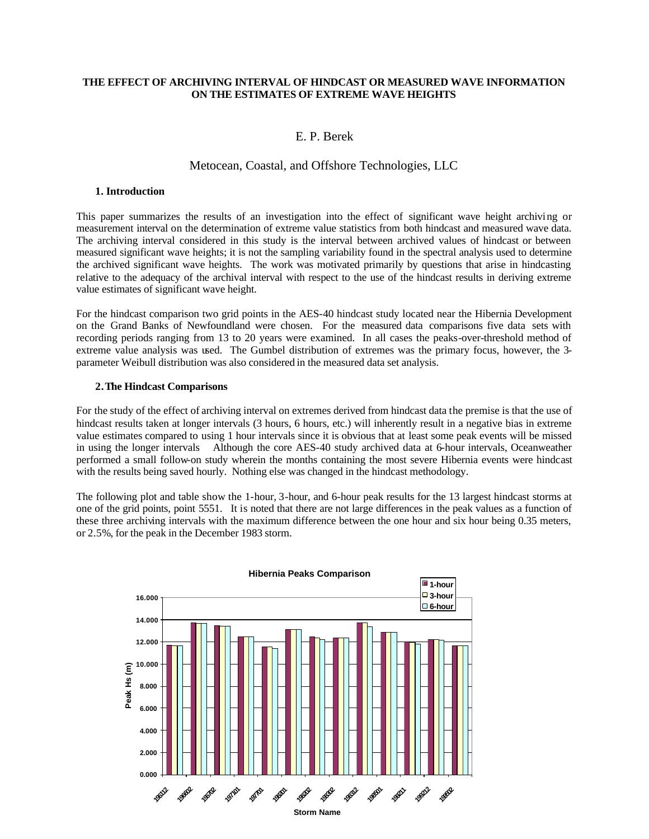## **THE EFFECT OF ARCHIVING INTERVAL OF HINDCAST OR MEASURED WAVE INFORMATION ON THE ESTIMATES OF EXTREME WAVE HEIGHTS**

# E. P. Berek

# Metocean, Coastal, and Offshore Technologies, LLC

#### **1. Introduction**

This paper summarizes the results of an investigation into the effect of significant wave height archiving or measurement interval on the determination of extreme value statistics from both hindcast and measured wave data. The archiving interval considered in this study is the interval between archived values of hindcast or between measured significant wave heights; it is not the sampling variability found in the spectral analysis used to determine the archived significant wave heights. The work was motivated primarily by questions that arise in hindcasting relative to the adequacy of the archival interval with respect to the use of the hindcast results in deriving extreme value estimates of significant wave height.

For the hindcast comparison two grid points in the AES-40 hindcast study located near the Hibernia Development on the Grand Banks of Newfoundland were chosen. For the measured data comparisons five data sets with recording periods ranging from 13 to 20 years were examined. In all cases the peaks-over-threshold method of extreme value analysis was used. The Gumbel distribution of extremes was the primary focus, however, the 3 parameter Weibull distribution was also considered in the measured data set analysis.

## **2.The Hindcast Comparisons**

For the study of the effect of archiving interval on extremes derived from hindcast data the premise is that the use of hindcast results taken at longer intervals (3 hours, 6 hours, etc.) will inherently result in a negative bias in extreme value estimates compared to using 1 hour intervals since it is obvious that at least some peak events will be missed in using the longer intervals Although the core AES-40 study archived data at 6-hour intervals, Oceanweather performed a small follow-on study wherein the months containing the most severe Hibernia events were hindcast with the results being saved hourly. Nothing else was changed in the hindcast methodology.

The following plot and table show the 1-hour, 3-hour, and 6-hour peak results for the 13 largest hindcast storms at one of the grid points, point 5551. It is noted that there are not large differences in the peak values as a function of these three archiving intervals with the maximum difference between the one hour and six hour being 0.35 meters, or 2.5%, for the peak in the December 1983 storm.

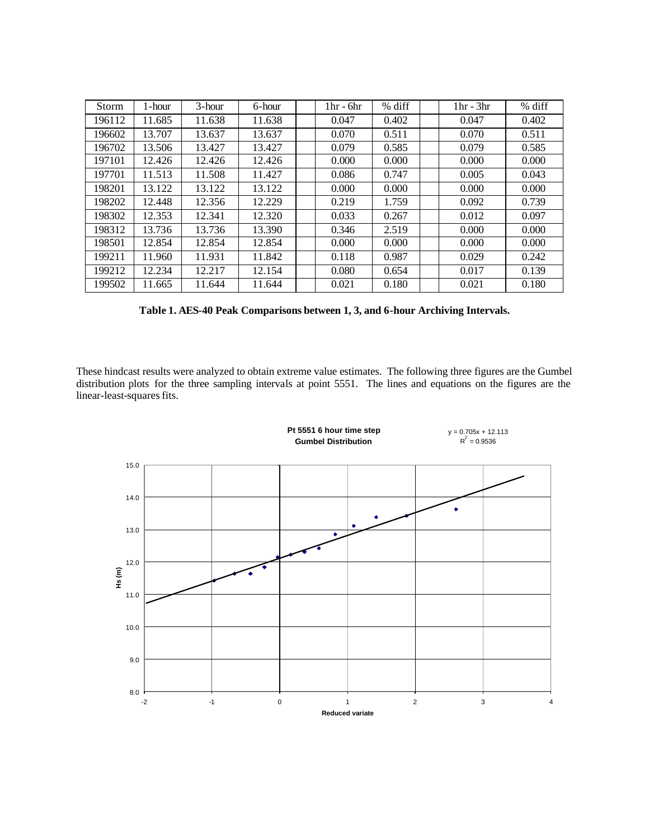| Storm  | . -hour | $3$ -hour | 6-hour | $1hr - 6hr$ | % diff | $1hr - 3hr$ | % diff |
|--------|---------|-----------|--------|-------------|--------|-------------|--------|
| 196112 | 11.685  | 11.638    | 11.638 | 0.047       | 0.402  | 0.047       | 0.402  |
| 196602 | 13.707  | 13.637    | 13.637 | 0.070       | 0.511  | 0.070       | 0.511  |
| 196702 | 13.506  | 13.427    | 13.427 | 0.079       | 0.585  | 0.079       | 0.585  |
| 197101 | 12.426  | 12.426    | 12.426 | 0.000       | 0.000  | 0.000       | 0.000  |
| 197701 | 11.513  | 11.508    | 11.427 | 0.086       | 0.747  | 0.005       | 0.043  |
| 198201 | 13.122  | 13.122    | 13.122 | 0.000       | 0.000  | 0.000       | 0.000  |
| 198202 | 12.448  | 12.356    | 12.229 | 0.219       | 1.759  | 0.092       | 0.739  |
| 198302 | 12.353  | 12.341    | 12.320 | 0.033       | 0.267  | 0.012       | 0.097  |
| 198312 | 13.736  | 13.736    | 13.390 | 0.346       | 2.519  | 0.000       | 0.000  |
| 198501 | 12.854  | 12.854    | 12.854 | 0.000       | 0.000  | 0.000       | 0.000  |
| 199211 | 11.960  | 11.931    | 11.842 | 0.118       | 0.987  | 0.029       | 0.242  |
| 199212 | 12.234  | 12.217    | 12.154 | 0.080       | 0.654  | 0.017       | 0.139  |
| 199502 | 11.665  | 11.644    | 11.644 | 0.021       | 0.180  | 0.021       | 0.180  |

**Table 1. AES-40 Peak Comparisons between 1, 3, and 6-hour Archiving Intervals.**

These hindcast results were analyzed to obtain extreme value estimates. The following three figures are the Gumbel distribution plots for the three sampling intervals at point 5551. The lines and equations on the figures are the linear-least-squares fits.

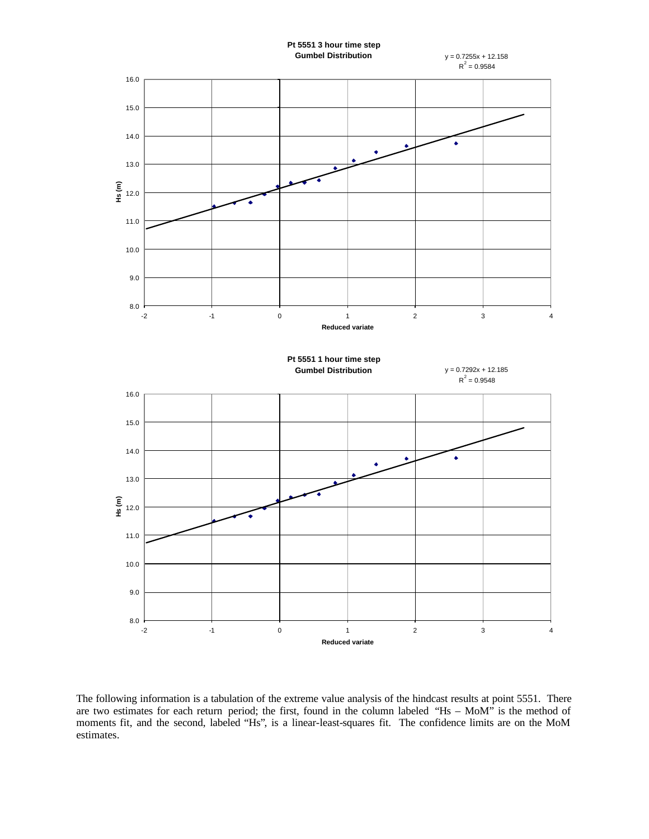

The following information is a tabulation of the extreme value analysis of the hindcast results at point 5551. There are two estimates for each return period; the first, found in the column labeled "Hs – MoM" is the method of moments fit, and the second, labeled "Hs", is a linear-least-squares fit. The confidence limits are on the MoM estimates.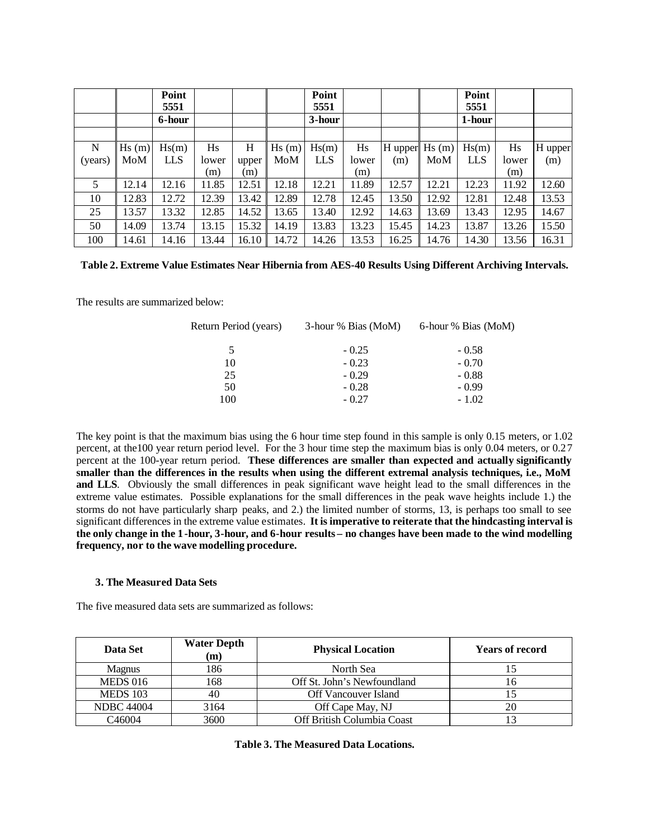|         |       | Point<br>5551 |       |       |       | Point<br>5551 |       |                   |       | Point<br>5551 |       |         |
|---------|-------|---------------|-------|-------|-------|---------------|-------|-------------------|-------|---------------|-------|---------|
|         |       | 6-hour        |       |       |       | 3-hour        |       |                   |       | 1-hour        |       |         |
|         |       |               |       |       |       |               |       |                   |       |               |       |         |
| N       | Hs(m) | Hs(m)         | Hs    | H     | Hs(m) | Hs(m)         | Hs    | $H$ upper $Hs(m)$ |       | Hs(m)         | Hs    | H upper |
| (years) | MoM   | <b>LLS</b>    | lower | upper | MoM   | <b>LLS</b>    | lower | (m)               | MoM   | <b>LLS</b>    | lower | (m)     |
|         |       |               | (m)   | (m)   |       |               | (m)   |                   |       |               | (m)   |         |
| 5       | 12.14 | 12.16         | 11.85 | 12.51 | 12.18 | 12.21         | 11.89 | 12.57             | 12.21 | 12.23         | 11.92 | 12.60   |
| 10      | 12.83 | 12.72         | 12.39 | 13.42 | 12.89 | 12.78         | 12.45 | 13.50             | 12.92 | 12.81         | 12.48 | 13.53   |
| 25      | 13.57 | 13.32         | 12.85 | 14.52 | 13.65 | 13.40         | 12.92 | 14.63             | 13.69 | 13.43         | 12.95 | 14.67   |
| 50      | 14.09 | 13.74         | 13.15 | 15.32 | 14.19 | 13.83         | 13.23 | 15.45             | 14.23 | 13.87         | 13.26 | 15.50   |
| 100     | 14.61 | 14.16         | 13.44 | 16.10 | 14.72 | 14.26         | 13.53 | 16.25             | 14.76 | 14.30         | 13.56 | 16.31   |

|  |  | Table 2. Extreme Value Estimates Near Hibernia from AES-40 Results Using Different Archiving Intervals. |  |
|--|--|---------------------------------------------------------------------------------------------------------|--|
|  |  |                                                                                                         |  |

The results are summarized below:

| 3-hour % Bias (MoM) | 6-hour % Bias (MoM) |
|---------------------|---------------------|
| $-0.25$             | $-0.58$             |
| $-0.23$             | $-0.70$             |
| $-0.29$             | $-0.88$             |
| $-0.28$             | $-0.99$             |
| $-0.27$             | $-1.02$             |
|                     |                     |

The key point is that the maximum bias using the 6 hour time step found in this sample is only 0.15 meters, or 1.02 percent, at the100 year return period level. For the 3 hour time step the maximum bias is only 0.04 meters, or 0.27 percent at the 100-year return period. **These differences are smaller than expected and actually significantly smaller than the differences in the results when using the different extremal analysis techniques, i.e., MoM and LLS**. Obviously the small differences in peak significant wave height lead to the small differences in the extreme value estimates. Possible explanations for the small differences in the peak wave heights include 1.) the storms do not have particularly sharp peaks, and 2.) the limited number of storms, 13, is perhaps too small to see significant differences in the extreme value estimates. **It is imperative to reiterate that the hindcasting interval is the only change in the 1-hour, 3-hour, and 6-hour results – no changes have been made to the wind modelling frequency, nor to the wave modelling procedure.**

#### **3. The Measured Data Sets**

The five measured data sets are summarized as follows:

| Data Set               | <b>Water Depth</b><br>(m) | <b>Physical Location</b>    | <b>Years of record</b> |
|------------------------|---------------------------|-----------------------------|------------------------|
| <b>Magnus</b>          | 186                       | North Sea                   |                        |
| <b>MEDS 016</b><br>168 |                           | Off St. John's Newfoundland |                        |
| <b>MEDS 103</b>        | 40                        | <b>Off Vancouver Island</b> |                        |
| <b>NDBC 44004</b>      | 3164                      | Off Cape May, NJ            |                        |
| C <sub>46</sub> 004    | 3600                      | Off British Columbia Coast  |                        |

#### **Table 3. The Measured Data Locations.**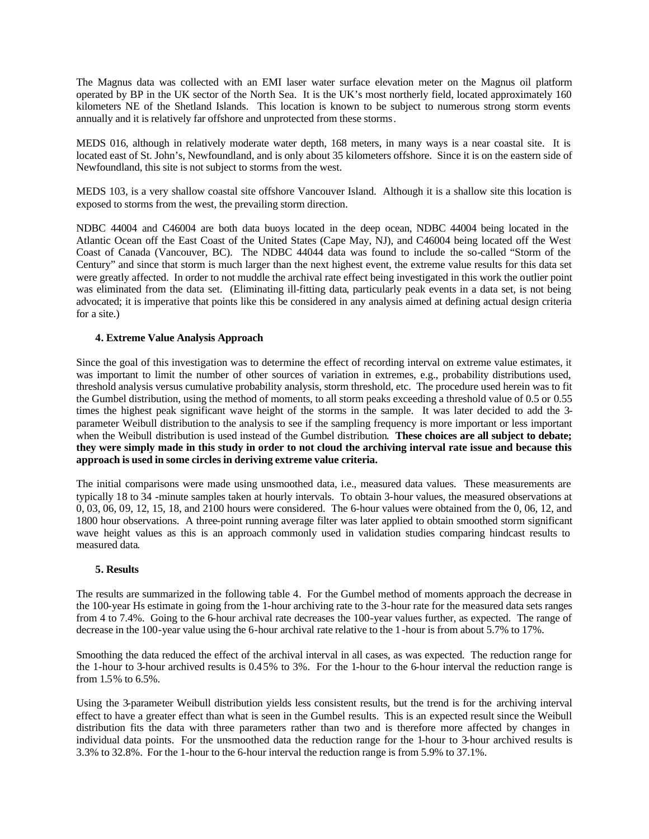The Magnus data was collected with an EMI laser water surface elevation meter on the Magnus oil platform operated by BP in the UK sector of the North Sea. It is the UK's most northerly field, located approximately 160 kilometers NE of the Shetland Islands. This location is known to be subject to numerous strong storm events annually and it is relatively far offshore and unprotected from these storms.

MEDS 016, although in relatively moderate water depth, 168 meters, in many ways is a near coastal site. It is located east of St. John's, Newfoundland, and is only about 35 kilometers offshore. Since it is on the eastern side of Newfoundland, this site is not subject to storms from the west.

MEDS 103, is a very shallow coastal site offshore Vancouver Island. Although it is a shallow site this location is exposed to storms from the west, the prevailing storm direction.

NDBC 44004 and C46004 are both data buoys located in the deep ocean, NDBC 44004 being located in the Atlantic Ocean off the East Coast of the United States (Cape May, NJ), and C46004 being located off the West Coast of Canada (Vancouver, BC). The NDBC 44044 data was found to include the so-called "Storm of the Century" and since that storm is much larger than the next highest event, the extreme value results for this data set were greatly affected. In order to not muddle the archival rate effect being investigated in this work the outlier point was eliminated from the data set. (Eliminating ill-fitting data, particularly peak events in a data set, is not being advocated; it is imperative that points like this be considered in any analysis aimed at defining actual design criteria for a site.)

## **4. Extreme Value Analysis Approach**

Since the goal of this investigation was to determine the effect of recording interval on extreme value estimates, it was important to limit the number of other sources of variation in extremes, e.g., probability distributions used, threshold analysis versus cumulative probability analysis, storm threshold, etc. The procedure used herein was to fit the Gumbel distribution, using the method of moments, to all storm peaks exceeding a threshold value of 0.5 or 0.55 times the highest peak significant wave height of the storms in the sample. It was later decided to add the 3 parameter Weibull distribution to the analysis to see if the sampling frequency is more important or less important when the Weibull distribution is used instead of the Gumbel distribution. **These choices are all subject to debate; they were simply made in this study in order to not cloud the archiving interval rate issue and because this approach is used in some circles in deriving extreme value criteria.**

The initial comparisons were made using unsmoothed data, i.e., measured data values. These measurements are typically 18 to 34 -minute samples taken at hourly intervals. To obtain 3-hour values, the measured observations at 0, 03, 06, 09, 12, 15, 18, and 2100 hours were considered. The 6-hour values were obtained from the 0, 06, 12, and 1800 hour observations. A three-point running average filter was later applied to obtain smoothed storm significant wave height values as this is an approach commonly used in validation studies comparing hindcast results to measured data.

#### **5. Results**

The results are summarized in the following table 4. For the Gumbel method of moments approach the decrease in the 100-year Hs estimate in going from the 1-hour archiving rate to the 3-hour rate for the measured data sets ranges from 4 to 7.4%. Going to the 6-hour archival rate decreases the 100-year values further, as expected. The range of decrease in the 100-year value using the 6-hour archival rate relative to the 1-hour is from about 5.7% to 17%.

Smoothing the data reduced the effect of the archival interval in all cases, as was expected. The reduction range for the 1-hour to 3-hour archived results is 0.45% to 3%. For the 1-hour to the 6-hour interval the reduction range is from 1.5% to 6.5%.

Using the 3-parameter Weibull distribution yields less consistent results, but the trend is for the archiving interval effect to have a greater effect than what is seen in the Gumbel results. This is an expected result since the Weibull distribution fits the data with three parameters rather than two and is therefore more affected by changes in individual data points. For the unsmoothed data the reduction range for the 1-hour to 3-hour archived results is 3.3% to 32.8%. For the 1-hour to the 6-hour interval the reduction range is from 5.9% to 37.1%.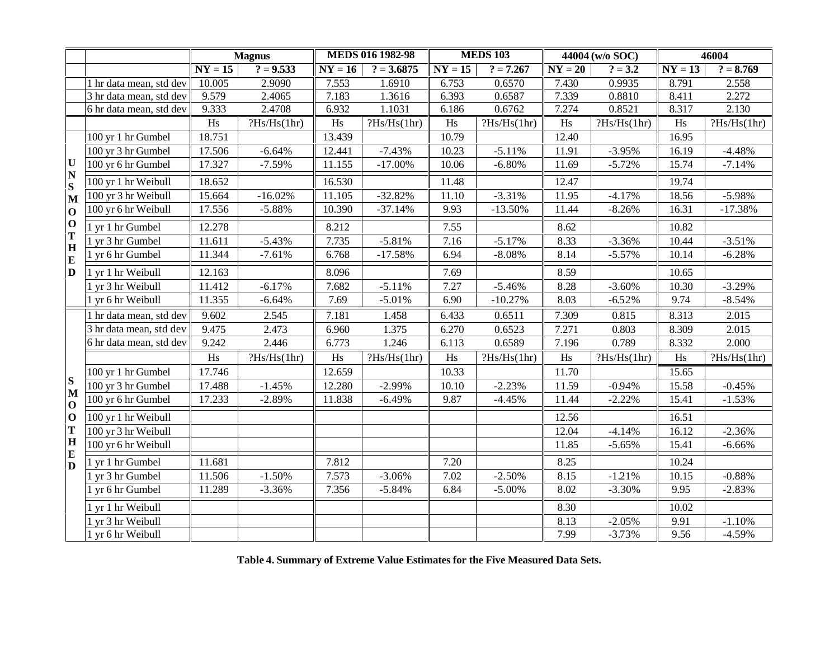|                              |                         |           | <b>Magnus</b> | <b>MEDS 016 1982-98</b> |              |           | <b>MEDS 103</b> | 44004 (w/o SOC) |             | 46004     |             |
|------------------------------|-------------------------|-----------|---------------|-------------------------|--------------|-----------|-----------------|-----------------|-------------|-----------|-------------|
|                              |                         | $NY = 15$ | $? = 9.533$   | $NY = 16$               | $? = 3.6875$ | $NY = 15$ | $? = 7.267$     | $NY = 20$       | $? = 3.2$   | $NY = 13$ | $? = 8.769$ |
|                              | 1 hr data mean, std dev | 10.005    | 2.9090        | 7.553                   | 1.6910       | 6.753     | 0.6570          | 7.430           | 0.9935      | 8.791     | 2.558       |
|                              | 3 hr data mean, std dev | 9.579     | 2.4065        | 7.183                   | 1.3616       | 6.393     | 0.6587          | 7.339           | 0.8810      | 8.411     | 2.272       |
|                              | 6 hr data mean, std dev | 9.333     | 2.4708        | 6.932                   | 1.1031       | 6.186     | 0.6762          | 7.274           | 0.8521      | 8.317     | 2.130       |
|                              |                         | Hs        | ?Hs/Hs(1hr)   | Hs                      | ?Hs/Hs(1hr)  | Hs        | ?Hs/Hs(1hr)     | Hs              | ?Hs/Hs(1hr) | Hs        | ?Hs/Hs(1hr) |
|                              | 100 yr 1 hr Gumbel      | 18.751    |               | 13.439                  |              | 10.79     |                 | 12.40           |             | 16.95     |             |
|                              | 100 yr 3 hr Gumbel      | 17.506    | $-6.64%$      | 12.441                  | $-7.43%$     | 10.23     | $-5.11%$        | 11.91           | $-3.95%$    | 16.19     | $-4.48%$    |
| $\mathbf U$                  | 100 yr 6 hr Gumbel      | 17.327    | $-7.59%$      | 11.155                  | $-17.00%$    | 10.06     | $-6.80%$        | 11.69           | $-5.72%$    | 15.74     | $-7.14%$    |
| $\overline{\mathbf{N}}$<br>S | 100 yr 1 hr Weibull     | 18.652    |               | 16.530                  |              | 11.48     |                 | 12.47           |             | 19.74     |             |
| $\mathbf{M}$                 | 100 yr 3 hr Weibull     | 15.664    | $-16.02%$     | 11.105                  | $-32.82%$    | 11.10     | $-3.31%$        | 11.95           | $-4.17%$    | 18.56     | $-5.98%$    |
| $\mathbf{O}$                 | 100 yr 6 hr Weibull     | 17.556    | $-5.88%$      | 10.390                  | $-37.14%$    | 9.93      | $-13.50%$       | 11.44           | $-8.26%$    | 16.31     | $-17.38%$   |
| $\mathbf{O}$                 | 1 yr 1 hr Gumbel        | 12.278    |               | 8.212                   |              | 7.55      |                 | 8.62            |             | 10.82     |             |
| T<br>H                       | 1 yr 3 hr Gumbel        | 11.611    | $-5.43%$      | 7.735                   | $-5.81%$     | 7.16      | $-5.17%$        | 8.33            | $-3.36%$    | 10.44     | $-3.51%$    |
| E<br>D                       | 1 yr 6 hr Gumbel        | 11.344    | $-7.61%$      | 6.768                   | $-17.58%$    | 6.94      | $-8.08%$        | 8.14            | $-5.57%$    | 10.14     | $-6.28%$    |
|                              | 1 yr 1 hr Weibull       | 12.163    |               | 8.096                   |              | 7.69      |                 | 8.59            |             | 10.65     |             |
|                              | 1 yr 3 hr Weibull       | 11.412    | $-6.17%$      | 7.682                   | $-5.11%$     | 7.27      | $-5.46%$        | 8.28            | $-3.60%$    | 10.30     | $-3.29%$    |
|                              | 1 yr 6 hr Weibull       | 11.355    | $-6.64%$      | 7.69                    | $-5.01%$     | 6.90      | $-10.27%$       | 8.03            | $-6.52%$    | 9.74      | $-8.54%$    |
|                              | 1 hr data mean, std dev | 9.602     | 2.545         | 7.181                   | 1.458        | 6.433     | 0.6511          | 7.309           | 0.815       | 8.313     | 2.015       |
|                              | 3 hr data mean, std dev | 9.475     | 2.473         | 6.960                   | 1.375        | 6.270     | 0.6523          | 7.271           | 0.803       | 8.309     | 2.015       |
|                              | 6 hr data mean, std dev | 9.242     | 2.446         | 6.773                   | 1.246        | 6.113     | 0.6589          | 7.196           | 0.789       | 8.332     | 2.000       |
|                              |                         | Hs        | ?Hs/Hs(1hr)   | $\rm H\rm s$            | ?Hs/Hs(1hr)  | Hs        | ?Hs/Hs(1hr)     | Hs              | ?Hs/Hs(1hr) | Hs        | ?Hs/Hs(1hr) |
|                              | 100 yr 1 hr Gumbel      | 17.746    |               | 12.659                  |              | 10.33     |                 | 11.70           |             | 15.65     |             |
| S<br>$\mathbf{M}$            | 100 yr 3 hr Gumbel      | 17.488    | $-1.45%$      | 12.280                  | $-2.99%$     | 10.10     | $-2.23%$        | 11.59           | $-0.94%$    | 15.58     | $-0.45%$    |
| $\mathbf{O}$                 | 100 yr 6 hr Gumbel      | 17.233    | $-2.89%$      | 11.838                  | $-6.49%$     | 9.87      | $-4.45%$        | 11.44           | $-2.22%$    | 15.41     | $-1.53%$    |
| $\mathbf{O}$                 | 100 yr 1 hr Weibull     |           |               |                         |              |           |                 | 12.56           |             | 16.51     |             |
| T                            | 100 yr 3 hr Weibull     |           |               |                         |              |           |                 | 12.04           | $-4.14%$    | 16.12     | $-2.36%$    |
| H<br>E                       | 100 yr 6 hr Weibull     |           |               |                         |              |           |                 | 11.85           | $-5.65%$    | 15.41     | $-6.66%$    |
| D                            | 1 yr 1 hr Gumbel        | 11.681    |               | 7.812                   |              | 7.20      |                 | 8.25            |             | 10.24     |             |
|                              | 1 yr 3 hr Gumbel        | 11.506    | $-1.50%$      | 7.573                   | $-3.06%$     | 7.02      | $-2.50%$        | 8.15            | $-1.21%$    | 10.15     | $-0.88%$    |
|                              | 1 yr 6 hr Gumbel        | 11.289    | $-3.36%$      | 7.356                   | $-5.84%$     | 6.84      | $-5.00\%$       | 8.02            | $-3.30%$    | 9.95      | $-2.83%$    |
|                              | 1 yr 1 hr Weibull       |           |               |                         |              |           |                 | 8.30            |             | 10.02     |             |
|                              | 1 yr 3 hr Weibull       |           |               |                         |              |           |                 | 8.13            | $-2.05%$    | 9.91      | $-1.10%$    |
|                              | 1 yr 6 hr Weibull       |           |               |                         |              |           |                 | 7.99            | $-3.73%$    | 9.56      | $-4.59%$    |

**Table 4. Summary of Extreme Value Estimates for the Five Measured Data Sets.**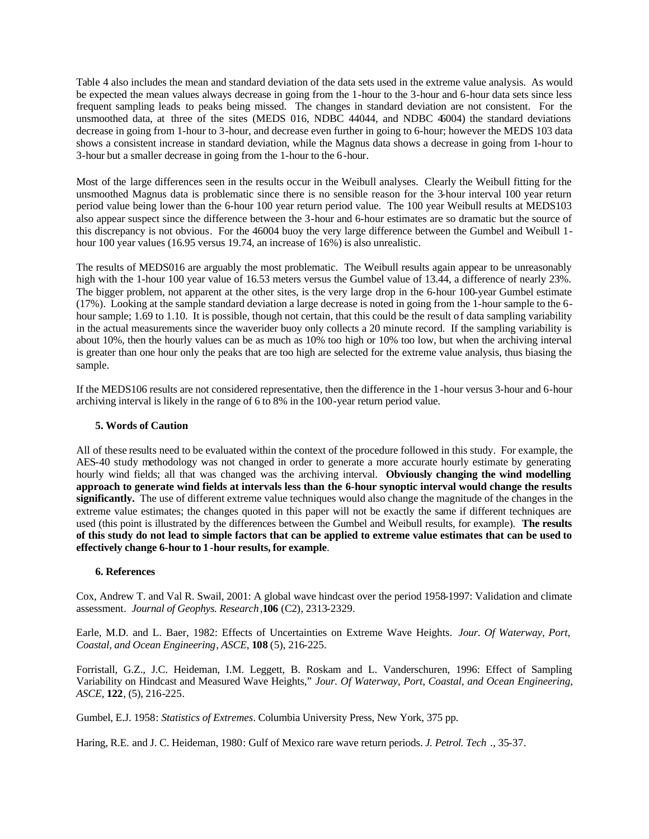Table 4 also includes the mean and standard deviation of the data sets used in the extreme value analysis. As would be expected the mean values always decrease in going from the 1-hour to the 3-hour and 6-hour data sets since less frequent sampling leads to peaks being missed. The changes in standard deviation are not consistent. For the unsmoothed data, at three of the sites (MEDS 016, NDBC 44044, and NDBC 46004) the standard deviations decrease in going from 1-hour to 3-hour, and decrease even further in going to 6-hour; however the MEDS 103 data shows a consistent increase in standard deviation, while the Magnus data shows a decrease in going from 1-hour to 3-hour but a smaller decrease in going from the 1-hour to the 6-hour.

Most of the large differences seen in the results occur in the Weibull analyses. Clearly the Weibull fitting for the unsmoothed Magnus data is problematic since there is no sensible reason for the 3-hour interval 100 year return period value being lower than the 6-hour 100 year return period value. The 100 year Weibull results at MEDS103 also appear suspect since the difference between the 3-hour and 6-hour estimates are so dramatic but the source of this discrepancy is not obvious. For the 46004 buoy the very large difference between the Gumbel and Weibull 1 hour 100 year values (16.95 versus 19.74, an increase of 16%) is also unrealistic.

The results of MEDS016 are arguably the most problematic. The Weibull results again appear to be unreasonably high with the 1-hour 100 year value of 16.53 meters versus the Gumbel value of 13.44, a difference of nearly 23%. The bigger problem, not apparent at the other sites, is the very large drop in the 6-hour 100-year Gumbel estimate (17%). Looking at the sample standard deviation a large decrease is noted in going from the 1-hour sample to the 6 hour sample; 1.69 to 1.10. It is possible, though not certain, that this could be the result of data sampling variability in the actual measurements since the waverider buoy only collects a 20 minute record. If the sampling variability is about 10%, then the hourly values can be as much as 10% too high or 10% too low, but when the archiving interval is greater than one hour only the peaks that are too high are selected for the extreme value analysis, thus biasing the sample.

If the MEDS106 results are not considered representative, then the difference in the 1-hour versus 3-hour and 6-hour archiving interval is likely in the range of 6 to 8% in the 100-year return period value.

# **5. Words of Caution**

All of these results need to be evaluated within the context of the procedure followed in this study. For example, the AES-40 study methodology was not changed in order to generate a more accurate hourly estimate by generating hourly wind fields; all that was changed was the archiving interval. **Obviously changing the wind modelling approach to generate wind fields at intervals less than the 6-hour synoptic interval would change the results significantly.** The use of different extreme value techniques would also change the magnitude of the changes in the extreme value estimates; the changes quoted in this paper will not be exactly the same if different techniques are used (this point is illustrated by the differences between the Gumbel and Weibull results, for example). **The results of this study do not lead to simple factors that can be applied to extreme value estimates that can be used to effectively change 6-hour to 1-hour results, for example**.

# **6. References**

Cox, Andrew T. and Val R. Swail, 2001: A global wave hindcast over the period 1958-1997: Validation and climate assessment*. Journal of Geophys. Research*,**106** (C2), 2313-2329.

Earle, M.D. and L. Baer, 1982: Effects of Uncertainties on Extreme Wave Heights. *Jour. Of Waterway, Port, Coastal, and Ocean Engineering*, *ASCE*, **108** (5), 216-225.

Forristall, G.Z., J.C. Heideman, I.M. Leggett, B. Roskam and L. Vanderschuren, 1996: Effect of Sampling Variability on Hindcast and Measured Wave Heights," *Jour. Of Waterway, Port, Coastal, and Ocean Engineering*, *ASCE*, **122**, (5), 216-225.

Gumbel, E.J. 1958: *Statistics of Extremes*. Columbia University Press, New York, 375 pp.

Haring, R.E. and J. C. Heideman, 1980: Gulf of Mexico rare wave return periods. *J. Petrol. Tech* ., 35-37.